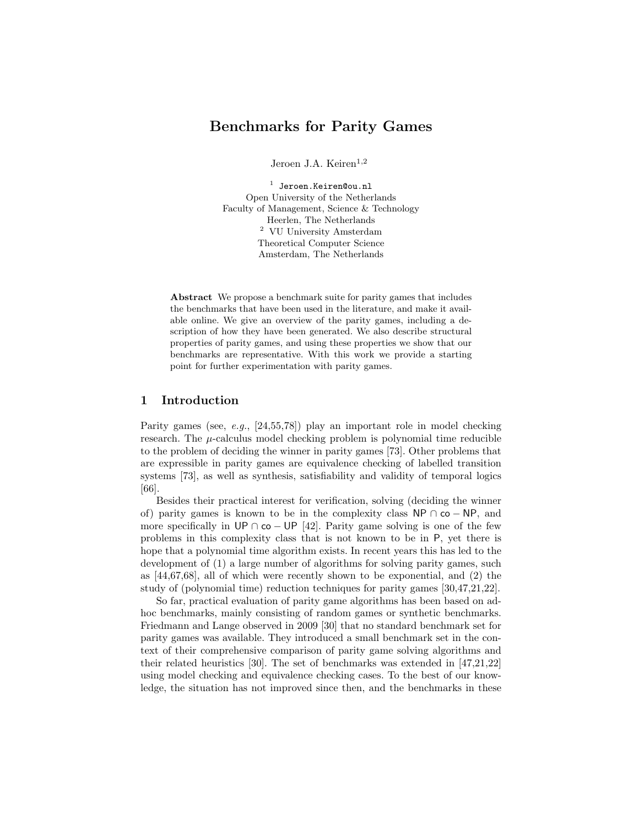# Benchmarks for Parity Games

Jeroen J.A. Keiren<sup>1,2</sup>

 $<sup>1</sup>$  Jeroen.Keiren@ou.nl</sup> Open University of the Netherlands Faculty of Management, Science & Technology Heerlen, The Netherlands <sup>2</sup> VU University Amsterdam Theoretical Computer Science Amsterdam, The Netherlands

Abstract We propose a benchmark suite for parity games that includes the benchmarks that have been used in the literature, and make it available online. We give an overview of the parity games, including a description of how they have been generated. We also describe structural properties of parity games, and using these properties we show that our benchmarks are representative. With this work we provide a starting point for further experimentation with parity games.

# 1 Introduction

Parity games (see, e.g.,  $[24,55,78]$ ) play an important role in model checking research. The  $\mu$ -calculus model checking problem is polynomial time reducible to the problem of deciding the winner in parity games [73]. Other problems that are expressible in parity games are equivalence checking of labelled transition systems [73], as well as synthesis, satisfiability and validity of temporal logics [66].

Besides their practical interest for verification, solving (deciding the winner of) parity games is known to be in the complexity class  $\mathsf{NP} \cap \mathsf{co} - \mathsf{NP}$ , and more specifically in UP  $\cap$  co – UP [42]. Parity game solving is one of the few problems in this complexity class that is not known to be in P, yet there is hope that a polynomial time algorithm exists. In recent years this has led to the development of (1) a large number of algorithms for solving parity games, such as [44,67,68], all of which were recently shown to be exponential, and (2) the study of (polynomial time) reduction techniques for parity games [30,47,21,22].

So far, practical evaluation of parity game algorithms has been based on adhoc benchmarks, mainly consisting of random games or synthetic benchmarks. Friedmann and Lange observed in 2009 [30] that no standard benchmark set for parity games was available. They introduced a small benchmark set in the context of their comprehensive comparison of parity game solving algorithms and their related heuristics [30]. The set of benchmarks was extended in [47,21,22] using model checking and equivalence checking cases. To the best of our knowledge, the situation has not improved since then, and the benchmarks in these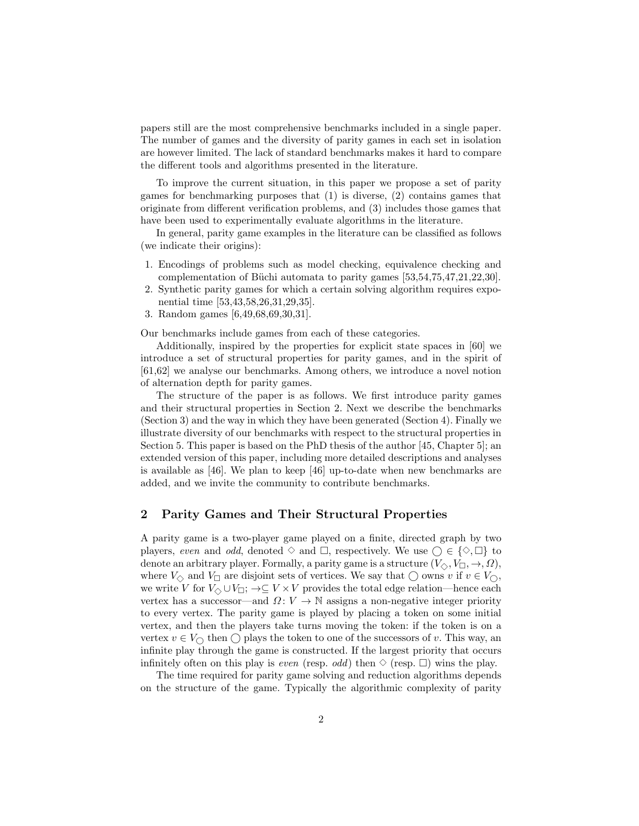papers still are the most comprehensive benchmarks included in a single paper. The number of games and the diversity of parity games in each set in isolation are however limited. The lack of standard benchmarks makes it hard to compare the different tools and algorithms presented in the literature.

To improve the current situation, in this paper we propose a set of parity games for benchmarking purposes that (1) is diverse, (2) contains games that originate from different verification problems, and (3) includes those games that have been used to experimentally evaluate algorithms in the literature.

In general, parity game examples in the literature can be classified as follows (we indicate their origins):

- 1. Encodings of problems such as model checking, equivalence checking and complementation of Büchi automata to parity games  $[53,54,75,47,21,22,30]$ .
- 2. Synthetic parity games for which a certain solving algorithm requires exponential time [53,43,58,26,31,29,35].
- 3. Random games [6,49,68,69,30,31].

Our benchmarks include games from each of these categories.

Additionally, inspired by the properties for explicit state spaces in [60] we introduce a set of structural properties for parity games, and in the spirit of [61,62] we analyse our benchmarks. Among others, we introduce a novel notion of alternation depth for parity games.

The structure of the paper is as follows. We first introduce parity games and their structural properties in Section 2. Next we describe the benchmarks (Section 3) and the way in which they have been generated (Section 4). Finally we illustrate diversity of our benchmarks with respect to the structural properties in Section 5. This paper is based on the PhD thesis of the author [45, Chapter 5]; an extended version of this paper, including more detailed descriptions and analyses is available as [46]. We plan to keep [46] up-to-date when new benchmarks are added, and we invite the community to contribute benchmarks.

# 2 Parity Games and Their Structural Properties

A parity game is a two-player game played on a finite, directed graph by two players, even and odd, denoted  $\Diamond$  and  $\Box$ , respectively. We use  $\bigcirc \in \{ \Diamond, \Box \}$  to denote an arbitrary player. Formally, a parity game is a structure  $(V_{\Diamond}, V_{\Box}, \rightarrow, \Omega)$ , where  $V_{\diamondsuit}$  and  $V_{\square}$  are disjoint sets of vertices. We say that  $\bigcirc$  owns  $v$  if  $v \in V_{\bigcirc}$ , we write V for  $V_{\diamondsuit} \cup V_{\square}$ ;  $\rightarrow \subseteq V \times V$  provides the total edge relation—hence each vertex has a successor—and  $\Omega: V \to \mathbb{N}$  assigns a non-negative integer priority to every vertex. The parity game is played by placing a token on some initial vertex, and then the players take turns moving the token: if the token is on a vertex  $v \in V_{\bigcirc}$  then  $\bigcirc$  plays the token to one of the successors of v. This way, an infinite play through the game is constructed. If the largest priority that occurs infinitely often on this play is even (resp. odd) then  $\Diamond$  (resp.  $\Box$ ) wins the play.

The time required for parity game solving and reduction algorithms depends on the structure of the game. Typically the algorithmic complexity of parity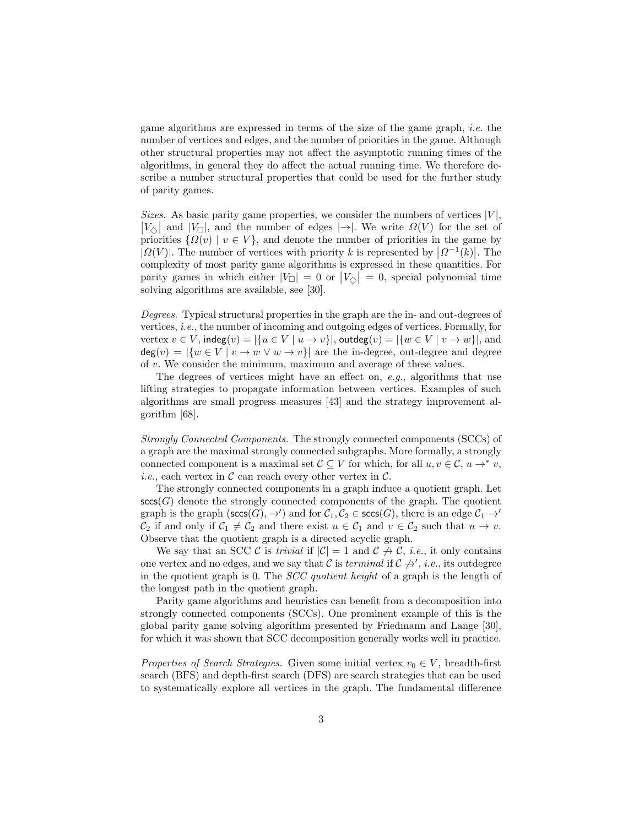game algorithms are expressed in terms of the size of the game graph, i.e. the number of vertices and edges, and the number of priorities in the game. Although other structural properties may not affect the asymptotic running times of the algorithms, in general they do affect the actual running time. We therefore describe a number structural properties that could be used for the further study of parity games.

Sizes. As basic parity game properties, we consider the numbers of vertices  $|V|$ ,  $|V_{\diamond}|$  and  $|V_{\Box}|$ , and the number of edges  $|\rightarrow|$ . We write  $\Omega(V)$  for the set of priorities  $\{\Omega(v) \mid v \in V\}$ , and denote the number of priorities in the game by  $|\Omega(V)|$ . The number of vertices with priority k is represented by  $|\Omega^{-1}(k)|$ . The complexity of most parity game algorithms is expressed in these quantities. For parity games in which either  $|V_{\Box}| = 0$  or  $|V_{\Diamond}| = 0$ , special polynomial time solving algorithms are available, see [30].

Degrees. Typical structural properties in the graph are the in- and out-degrees of vertices, i.e., the number of incoming and outgoing edges of vertices. Formally, for vertex  $v \in V$ , indeg $(v) = |\{u \in V \mid u \to v\}|$ , outdeg $(v) = |\{w \in V \mid v \to w\}|$ , and  $deg(v) = |\{w \in V \mid v \to w \lor w \to v\}|$  are the in-degree, out-degree and degree of v. We consider the minimum, maximum and average of these values.

The degrees of vertices might have an effect on,  $e, q,$ , algorithms that use lifting strategies to propagate information between vertices. Examples of such algorithms are small progress measures [43] and the strategy improvement algorithm [68].

Strongly Connected Components. The strongly connected components (SCCs) of a graph are the maximal strongly connected subgraphs. More formally, a strongly connected component is a maximal set  $\mathcal{C} \subseteq V$  for which, for all  $u, v \in \mathcal{C}, u \to^* v$ , *i.e.*, each vertex in  $\mathcal C$  can reach every other vertex in  $\mathcal C$ .

The strongly connected components in a graph induce a quotient graph. Let  $sccs(G)$  denote the strongly connected components of the graph. The quotient graph is the graph  $(\mathsf{SCcs}(G), \to')$  and for  $C_1, C_2 \in \mathsf{SCcs}(G)$ , there is an edge  $C_1 \to'$  $\mathcal{C}_2$  if and only if  $\mathcal{C}_1 \neq \mathcal{C}_2$  and there exist  $u \in \mathcal{C}_1$  and  $v \in \mathcal{C}_2$  such that  $u \to v$ . Observe that the quotient graph is a directed acyclic graph.

We say that an SCC C is *trivial* if  $|\mathcal{C}| = 1$  and  $\mathcal{C} \nrightarrow \mathcal{C}$ , *i.e.*, it only contains one vertex and no edges, and we say that C is *terminal* if  $C \nrightarrow'$ , *i.e.*, its outdegree in the quotient graph is 0. The SCC quotient height of a graph is the length of the longest path in the quotient graph.

Parity game algorithms and heuristics can benefit from a decomposition into strongly connected components (SCCs). One prominent example of this is the global parity game solving algorithm presented by Friedmann and Lange [30], for which it was shown that SCC decomposition generally works well in practice.

*Properties of Search Strategies.* Given some initial vertex  $v_0 \in V$ , breadth-first search (BFS) and depth-first search (DFS) are search strategies that can be used to systematically explore all vertices in the graph. The fundamental difference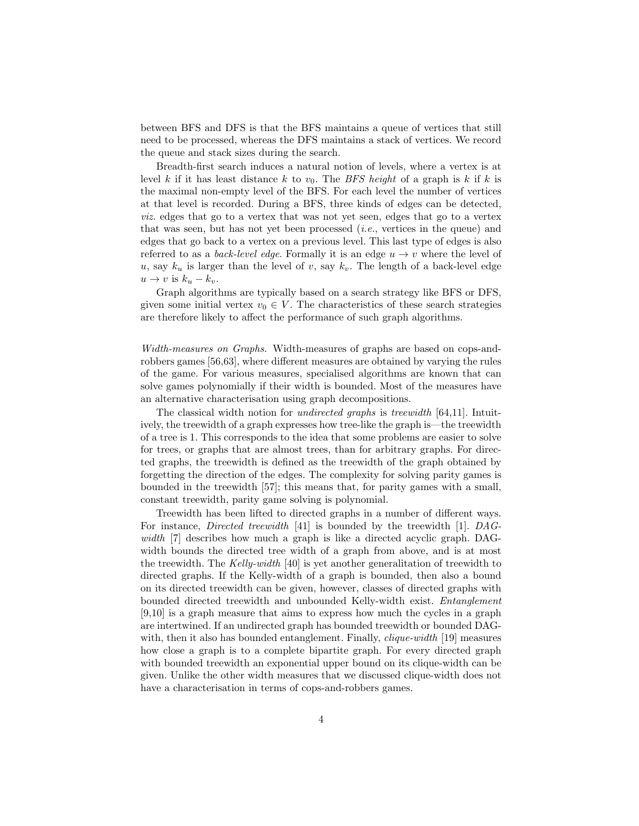between BFS and DFS is that the BFS maintains a queue of vertices that still need to be processed, whereas the DFS maintains a stack of vertices. We record the queue and stack sizes during the search.

Breadth-first search induces a natural notion of levels, where a vertex is at level k if it has least distance k to  $v_0$ . The BFS height of a graph is k if k is the maximal non-empty level of the BFS. For each level the number of vertices at that level is recorded. During a BFS, three kinds of edges can be detected, viz. edges that go to a vertex that was not yet seen, edges that go to a vertex that was seen, but has not yet been processed  $(i.e.,$  vertices in the queue) and edges that go back to a vertex on a previous level. This last type of edges is also referred to as a *back-level edge*. Formally it is an edge  $u \rightarrow v$  where the level of u, say  $k_u$  is larger than the level of v, say  $k_v$ . The length of a back-level edge  $u \rightarrow v$  is  $k_u - k_v$ .

Graph algorithms are typically based on a search strategy like BFS or DFS, given some initial vertex  $v_0 \in V$ . The characteristics of these search strategies are therefore likely to affect the performance of such graph algorithms.

Width-measures on Graphs. Width-measures of graphs are based on cops-androbbers games [56,63], where different measures are obtained by varying the rules of the game. For various measures, specialised algorithms are known that can solve games polynomially if their width is bounded. Most of the measures have an alternative characterisation using graph decompositions.

The classical width notion for undirected graphs is treewidth [64,11]. Intuitively, the treewidth of a graph expresses how tree-like the graph is—the treewidth of a tree is 1. This corresponds to the idea that some problems are easier to solve for trees, or graphs that are almost trees, than for arbitrary graphs. For directed graphs, the treewidth is defined as the treewidth of the graph obtained by forgetting the direction of the edges. The complexity for solving parity games is bounded in the treewidth [57]; this means that, for parity games with a small, constant treewidth, parity game solving is polynomial.

Treewidth has been lifted to directed graphs in a number of different ways. For instance, Directed treewidth [41] is bounded by the treewidth [1]. DAGwidth [7] describes how much a graph is like a directed acyclic graph. DAGwidth bounds the directed tree width of a graph from above, and is at most the treewidth. The Kelly-width [40] is yet another generalitation of treewidth to directed graphs. If the Kelly-width of a graph is bounded, then also a bound on its directed treewidth can be given, however, classes of directed graphs with bounded directed treewidth and unbounded Kelly-width exist. Entanglement [9,10] is a graph measure that aims to express how much the cycles in a graph are intertwined. If an undirected graph has bounded treewidth or bounded DAGwith, then it also has bounded entanglement. Finally, *clique-width* [19] measures how close a graph is to a complete bipartite graph. For every directed graph with bounded treewidth an exponential upper bound on its clique-width can be given. Unlike the other width measures that we discussed clique-width does not have a characterisation in terms of cops-and-robbers games.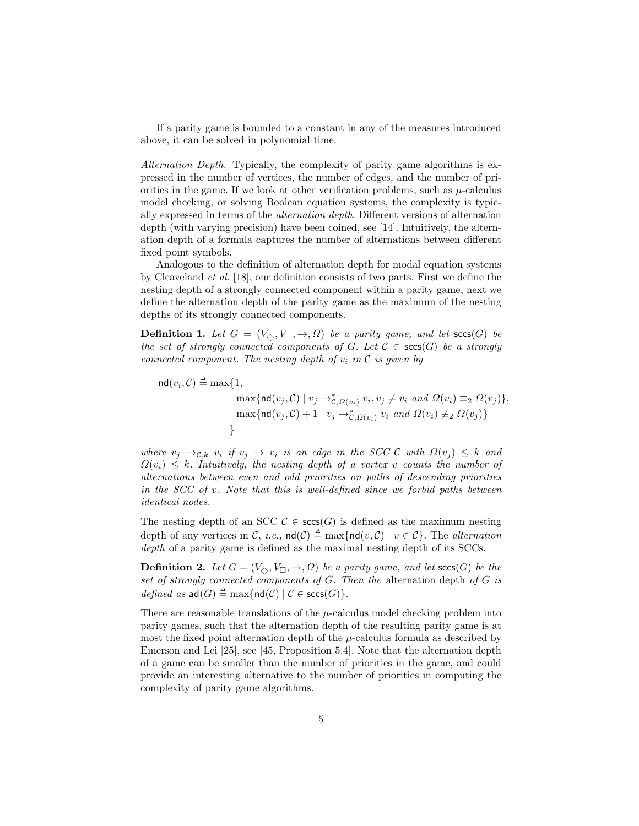If a parity game is bounded to a constant in any of the measures introduced above, it can be solved in polynomial time.

Alternation Depth. Typically, the complexity of parity game algorithms is expressed in the number of vertices, the number of edges, and the number of priorities in the game. If we look at other verification problems, such as  $\mu$ -calculus model checking, or solving Boolean equation systems, the complexity is typically expressed in terms of the alternation depth. Different versions of alternation depth (with varying precision) have been coined, see [14]. Intuitively, the alternation depth of a formula captures the number of alternations between different fixed point symbols.

Analogous to the definition of alternation depth for modal equation systems by Cleaveland et al. [18], our definition consists of two parts. First we define the nesting depth of a strongly connected component within a parity game, next we define the alternation depth of the parity game as the maximum of the nesting depths of its strongly connected components.

**Definition 1.** Let  $G = (V_{\diamondsuit}, V_{\square}, \rightarrow, \Omega)$  be a parity game, and let sccs(G) be the set of strongly connected components of G. Let  $\mathcal{C} \in \mathsf{SCCS}(G)$  be a strongly connected component. The nesting depth of  $v_i$  in C is given by

$$
\mathsf{nd}(v_i, \mathcal{C}) \stackrel{\Delta}{=} \max\{1, \max\{\mathsf{nd}(v_j, \mathcal{C}) \mid v_j \to_{\mathcal{C}, \Omega(v_i)}^* v_i, v_j \neq v_i \text{ and } \Omega(v_i) \equiv_2 \Omega(v_j)\},\newline \max\{\mathsf{nd}(v_j, \mathcal{C}) + 1 \mid v_j \to_{\mathcal{C}, \Omega(v_i)}^* v_i \text{ and } \Omega(v_i) \neq_2 \Omega(v_j)\}\n\}
$$

where  $v_j \rightarrow_{\mathcal{C},k} v_i$  if  $v_j \rightarrow v_i$  is an edge in the SCC C with  $\Omega(v_j) \leq k$  and  $\Omega(v_i) \leq k$ . Intuitively, the nesting depth of a vertex v counts the number of alternations between even and odd priorities on paths of descending priorities in the SCC of v. Note that this is well-defined since we forbid paths between identical nodes.

The nesting depth of an SCC  $\mathcal{C} \in \mathsf{SCCS}(G)$  is defined as the maximum nesting depth of any vertices in C, *i.e.*,  $\text{nd}(\mathcal{C}) \triangleq \max\{\text{nd}(v,\mathcal{C}) \mid v \in \mathcal{C}\}\.$  The *alternation* depth of a parity game is defined as the maximal nesting depth of its SCCs.

**Definition 2.** Let  $G = (V_{\Diamond}, V_{\Box}, \rightarrow, \Omega)$  be a parity game, and let sccs(G) be the set of strongly connected components of  $G$ . Then the alternation depth of  $G$  is *defined as*  $\text{ad}(G) \triangleq \max\{\text{nd}(\mathcal{C}) \mid \mathcal{C} \in \text{SCCS}(G)\}.$ 

There are reasonable translations of the  $\mu$ -calculus model checking problem into parity games, such that the alternation depth of the resulting parity game is at most the fixed point alternation depth of the  $\mu$ -calculus formula as described by Emerson and Lei [25], see [45, Proposition 5.4]. Note that the alternation depth of a game can be smaller than the number of priorities in the game, and could provide an interesting alternative to the number of priorities in computing the complexity of parity game algorithms.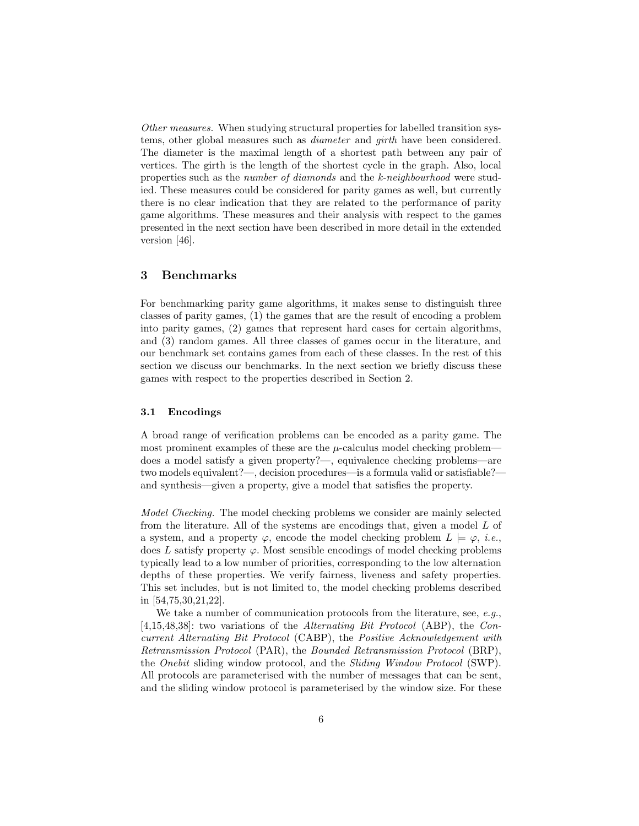Other measures. When studying structural properties for labelled transition systems, other global measures such as diameter and girth have been considered. The diameter is the maximal length of a shortest path between any pair of vertices. The girth is the length of the shortest cycle in the graph. Also, local properties such as the number of diamonds and the k-neighbourhood were studied. These measures could be considered for parity games as well, but currently there is no clear indication that they are related to the performance of parity game algorithms. These measures and their analysis with respect to the games presented in the next section have been described in more detail in the extended version [46].

### 3 Benchmarks

For benchmarking parity game algorithms, it makes sense to distinguish three classes of parity games, (1) the games that are the result of encoding a problem into parity games, (2) games that represent hard cases for certain algorithms, and (3) random games. All three classes of games occur in the literature, and our benchmark set contains games from each of these classes. In the rest of this section we discuss our benchmarks. In the next section we briefly discuss these games with respect to the properties described in Section 2.

### 3.1 Encodings

A broad range of verification problems can be encoded as a parity game. The most prominent examples of these are the  $\mu$ -calculus model checking problemdoes a model satisfy a given property?—, equivalence checking problems—are two models equivalent?—, decision procedures—is a formula valid or satisfiable? and synthesis—given a property, give a model that satisfies the property.

Model Checking. The model checking problems we consider are mainly selected from the literature. All of the systems are encodings that, given a model L of a system, and a property  $\varphi$ , encode the model checking problem  $L \models \varphi$ , *i.e.*, does L satisfy property  $\varphi$ . Most sensible encodings of model checking problems typically lead to a low number of priorities, corresponding to the low alternation depths of these properties. We verify fairness, liveness and safety properties. This set includes, but is not limited to, the model checking problems described in [54,75,30,21,22].

We take a number of communication protocols from the literature, see, e.g., [4,15,48,38]: two variations of the Alternating Bit Protocol (ABP), the Concurrent Alternating Bit Protocol (CABP), the Positive Acknowledgement with Retransmission Protocol (PAR), the Bounded Retransmission Protocol (BRP), the Onebit sliding window protocol, and the Sliding Window Protocol (SWP). All protocols are parameterised with the number of messages that can be sent, and the sliding window protocol is parameterised by the window size. For these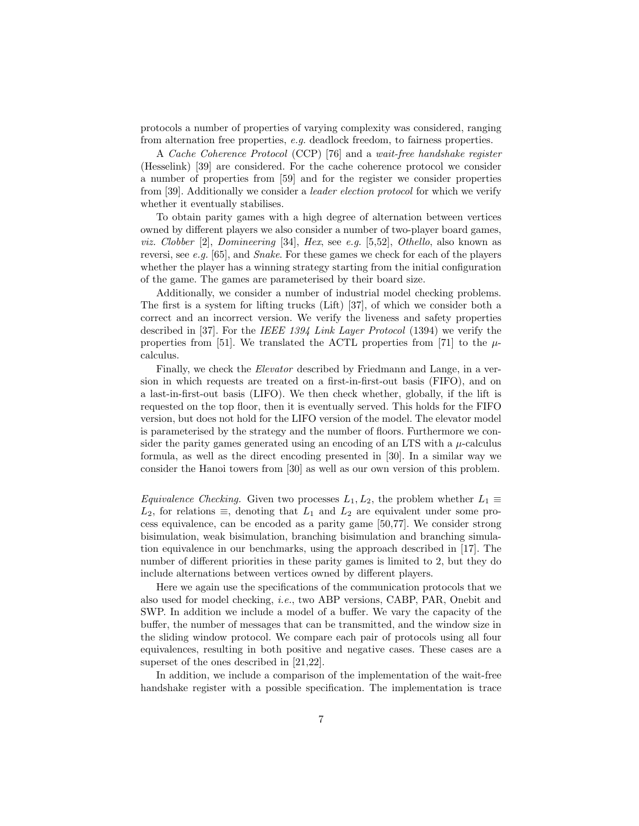protocols a number of properties of varying complexity was considered, ranging from alternation free properties, e.g. deadlock freedom, to fairness properties.

A Cache Coherence Protocol (CCP) [76] and a wait-free handshake register (Hesselink) [39] are considered. For the cache coherence protocol we consider a number of properties from [59] and for the register we consider properties from [39]. Additionally we consider a leader election protocol for which we verify whether it eventually stabilises.

To obtain parity games with a high degree of alternation between vertices owned by different players we also consider a number of two-player board games, *viz. Clobber* [2], *Domineering* [34], *Hex*, see *e.g.* [5,52], *Othello*, also known as reversi, see e.g.  $[65]$ , and *Snake*. For these games we check for each of the players whether the player has a winning strategy starting from the initial configuration of the game. The games are parameterised by their board size.

Additionally, we consider a number of industrial model checking problems. The first is a system for lifting trucks (Lift) [37], of which we consider both a correct and an incorrect version. We verify the liveness and safety properties described in [37]. For the IEEE 1394 Link Layer Protocol (1394) we verify the properties from [51]. We translated the ACTL properties from [71] to the  $\mu$ calculus.

Finally, we check the Elevator described by Friedmann and Lange, in a version in which requests are treated on a first-in-first-out basis (FIFO), and on a last-in-first-out basis (LIFO). We then check whether, globally, if the lift is requested on the top floor, then it is eventually served. This holds for the FIFO version, but does not hold for the LIFO version of the model. The elevator model is parameterised by the strategy and the number of floors. Furthermore we consider the parity games generated using an encoding of an LTS with a  $\mu$ -calculus formula, as well as the direct encoding presented in [30]. In a similar way we consider the Hanoi towers from [30] as well as our own version of this problem.

Equivalence Checking. Given two processes  $L_1, L_2$ , the problem whether  $L_1 \equiv$  $L_2$ , for relations  $\equiv$ , denoting that  $L_1$  and  $L_2$  are equivalent under some process equivalence, can be encoded as a parity game [50,77]. We consider strong bisimulation, weak bisimulation, branching bisimulation and branching simulation equivalence in our benchmarks, using the approach described in [17]. The number of different priorities in these parity games is limited to 2, but they do include alternations between vertices owned by different players.

Here we again use the specifications of the communication protocols that we also used for model checking, i.e., two ABP versions, CABP, PAR, Onebit and SWP. In addition we include a model of a buffer. We vary the capacity of the buffer, the number of messages that can be transmitted, and the window size in the sliding window protocol. We compare each pair of protocols using all four equivalences, resulting in both positive and negative cases. These cases are a superset of the ones described in [21,22].

In addition, we include a comparison of the implementation of the wait-free handshake register with a possible specification. The implementation is trace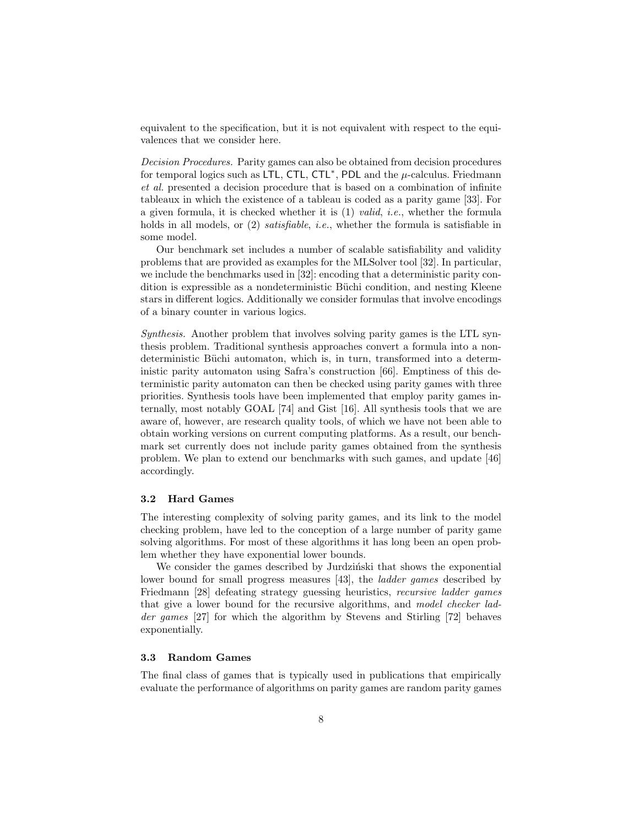equivalent to the specification, but it is not equivalent with respect to the equivalences that we consider here.

Decision Procedures. Parity games can also be obtained from decision procedures for temporal logics such as LTL, CTL, CTL<sup>\*</sup>, PDL and the  $\mu$ -calculus. Friedmann et al. presented a decision procedure that is based on a combination of infinite tableaux in which the existence of a tableau is coded as a parity game [33]. For a given formula, it is checked whether it is  $(1)$  valid, i.e., whether the formula holds in all models, or (2) *satisfiable*, *i.e.*, whether the formula is satisfiable in some model.

Our benchmark set includes a number of scalable satisfiability and validity problems that are provided as examples for the MLSolver tool [32]. In particular, we include the benchmarks used in [32]: encoding that a deterministic parity condition is expressible as a nondeterministic Büchi condition, and nesting Kleene stars in different logics. Additionally we consider formulas that involve encodings of a binary counter in various logics.

Synthesis. Another problem that involves solving parity games is the LTL synthesis problem. Traditional synthesis approaches convert a formula into a nondeterministic Büchi automaton, which is, in turn, transformed into a deterministic parity automaton using Safra's construction [66]. Emptiness of this deterministic parity automaton can then be checked using parity games with three priorities. Synthesis tools have been implemented that employ parity games internally, most notably GOAL [74] and Gist [16]. All synthesis tools that we are aware of, however, are research quality tools, of which we have not been able to obtain working versions on current computing platforms. As a result, our benchmark set currently does not include parity games obtained from the synthesis problem. We plan to extend our benchmarks with such games, and update [46] accordingly.

#### 3.2 Hard Games

The interesting complexity of solving parity games, and its link to the model checking problem, have led to the conception of a large number of parity game solving algorithms. For most of these algorithms it has long been an open problem whether they have exponential lower bounds.

We consider the games described by Jurdziński that shows the exponential lower bound for small progress measures [43], the ladder games described by Friedmann [28] defeating strategy guessing heuristics, recursive ladder games that give a lower bound for the recursive algorithms, and model checker ladder games [27] for which the algorithm by Stevens and Stirling [72] behaves exponentially.

#### 3.3 Random Games

The final class of games that is typically used in publications that empirically evaluate the performance of algorithms on parity games are random parity games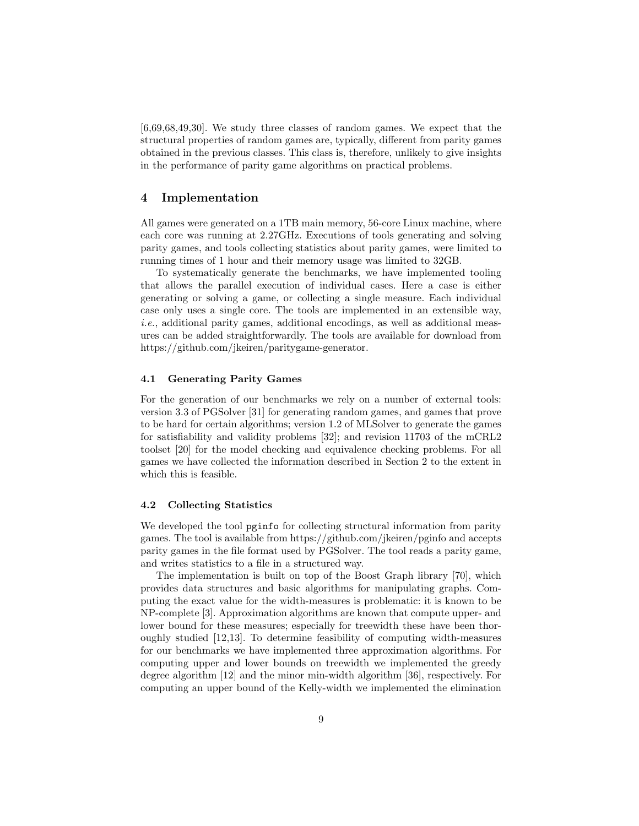[6,69,68,49,30]. We study three classes of random games. We expect that the structural properties of random games are, typically, different from parity games obtained in the previous classes. This class is, therefore, unlikely to give insights in the performance of parity game algorithms on practical problems.

### 4 Implementation

All games were generated on a 1TB main memory, 56-core Linux machine, where each core was running at 2.27GHz. Executions of tools generating and solving parity games, and tools collecting statistics about parity games, were limited to running times of 1 hour and their memory usage was limited to 32GB.

To systematically generate the benchmarks, we have implemented tooling that allows the parallel execution of individual cases. Here a case is either generating or solving a game, or collecting a single measure. Each individual case only uses a single core. The tools are implemented in an extensible way, i.e., additional parity games, additional encodings, as well as additional measures can be added straightforwardly. The tools are available for download from https://github.com/jkeiren/paritygame-generator.

#### 4.1 Generating Parity Games

For the generation of our benchmarks we rely on a number of external tools: version 3.3 of PGSolver [31] for generating random games, and games that prove to be hard for certain algorithms; version 1.2 of MLSolver to generate the games for satisfiability and validity problems [32]; and revision 11703 of the mCRL2 toolset [20] for the model checking and equivalence checking problems. For all games we have collected the information described in Section 2 to the extent in which this is feasible.

#### 4.2 Collecting Statistics

We developed the tool pginfo for collecting structural information from parity games. The tool is available from https://github.com/jkeiren/pginfo and accepts parity games in the file format used by PGSolver. The tool reads a parity game, and writes statistics to a file in a structured way.

The implementation is built on top of the Boost Graph library [70], which provides data structures and basic algorithms for manipulating graphs. Computing the exact value for the width-measures is problematic: it is known to be NP-complete [3]. Approximation algorithms are known that compute upper- and lower bound for these measures; especially for treewidth these have been thoroughly studied [12,13]. To determine feasibility of computing width-measures for our benchmarks we have implemented three approximation algorithms. For computing upper and lower bounds on treewidth we implemented the greedy degree algorithm [12] and the minor min-width algorithm [36], respectively. For computing an upper bound of the Kelly-width we implemented the elimination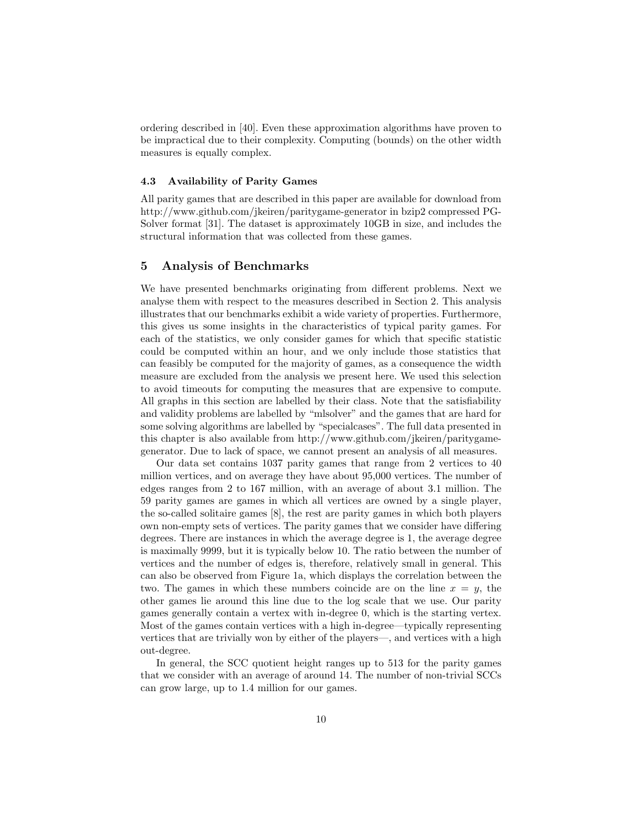ordering described in [40]. Even these approximation algorithms have proven to be impractical due to their complexity. Computing (bounds) on the other width measures is equally complex.

#### 4.3 Availability of Parity Games

All parity games that are described in this paper are available for download from http://www.github.com/jkeiren/paritygame-generator in bzip2 compressed PG-Solver format [31]. The dataset is approximately 10GB in size, and includes the structural information that was collected from these games.

#### 5 Analysis of Benchmarks

We have presented benchmarks originating from different problems. Next we analyse them with respect to the measures described in Section 2. This analysis illustrates that our benchmarks exhibit a wide variety of properties. Furthermore, this gives us some insights in the characteristics of typical parity games. For each of the statistics, we only consider games for which that specific statistic could be computed within an hour, and we only include those statistics that can feasibly be computed for the majority of games, as a consequence the width measure are excluded from the analysis we present here. We used this selection to avoid timeouts for computing the measures that are expensive to compute. All graphs in this section are labelled by their class. Note that the satisfiability and validity problems are labelled by "mlsolver" and the games that are hard for some solving algorithms are labelled by "specialcases". The full data presented in this chapter is also available from http://www.github.com/jkeiren/paritygamegenerator. Due to lack of space, we cannot present an analysis of all measures.

Our data set contains 1037 parity games that range from 2 vertices to 40 million vertices, and on average they have about 95,000 vertices. The number of edges ranges from 2 to 167 million, with an average of about 3.1 million. The 59 parity games are games in which all vertices are owned by a single player, the so-called solitaire games [8], the rest are parity games in which both players own non-empty sets of vertices. The parity games that we consider have differing degrees. There are instances in which the average degree is 1, the average degree is maximally 9999, but it is typically below 10. The ratio between the number of vertices and the number of edges is, therefore, relatively small in general. This can also be observed from Figure 1a, which displays the correlation between the two. The games in which these numbers coincide are on the line  $x = y$ , the other games lie around this line due to the log scale that we use. Our parity games generally contain a vertex with in-degree 0, which is the starting vertex. Most of the games contain vertices with a high in-degree—typically representing vertices that are trivially won by either of the players—, and vertices with a high out-degree.

In general, the SCC quotient height ranges up to 513 for the parity games that we consider with an average of around 14. The number of non-trivial SCCs can grow large, up to 1.4 million for our games.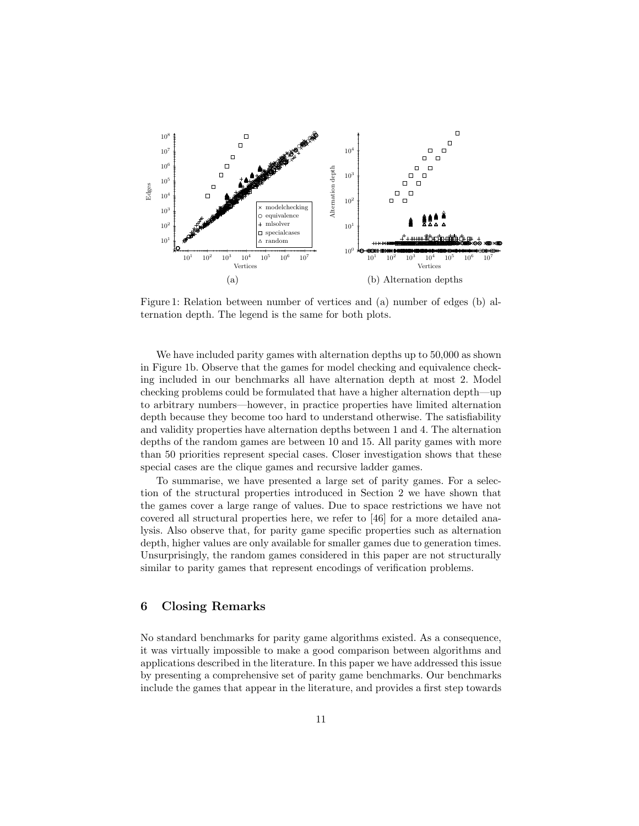

Figure 1: Relation between number of vertices and (a) number of edges (b) alternation depth. The legend is the same for both plots.

We have included parity games with alternation depths up to 50,000 as shown in Figure 1b. Observe that the games for model checking and equivalence checking included in our benchmarks all have alternation depth at most 2. Model checking problems could be formulated that have a higher alternation depth—up to arbitrary numbers—however, in practice properties have limited alternation depth because they become too hard to understand otherwise. The satisfiability and validity properties have alternation depths between 1 and 4. The alternation depths of the random games are between 10 and 15. All parity games with more than 50 priorities represent special cases. Closer investigation shows that these special cases are the clique games and recursive ladder games.

To summarise, we have presented a large set of parity games. For a selection of the structural properties introduced in Section 2 we have shown that the games cover a large range of values. Due to space restrictions we have not covered all structural properties here, we refer to [46] for a more detailed analysis. Also observe that, for parity game specific properties such as alternation depth, higher values are only available for smaller games due to generation times. Unsurprisingly, the random games considered in this paper are not structurally similar to parity games that represent encodings of verification problems.

# 6 Closing Remarks

No standard benchmarks for parity game algorithms existed. As a consequence, it was virtually impossible to make a good comparison between algorithms and applications described in the literature. In this paper we have addressed this issue by presenting a comprehensive set of parity game benchmarks. Our benchmarks include the games that appear in the literature, and provides a first step towards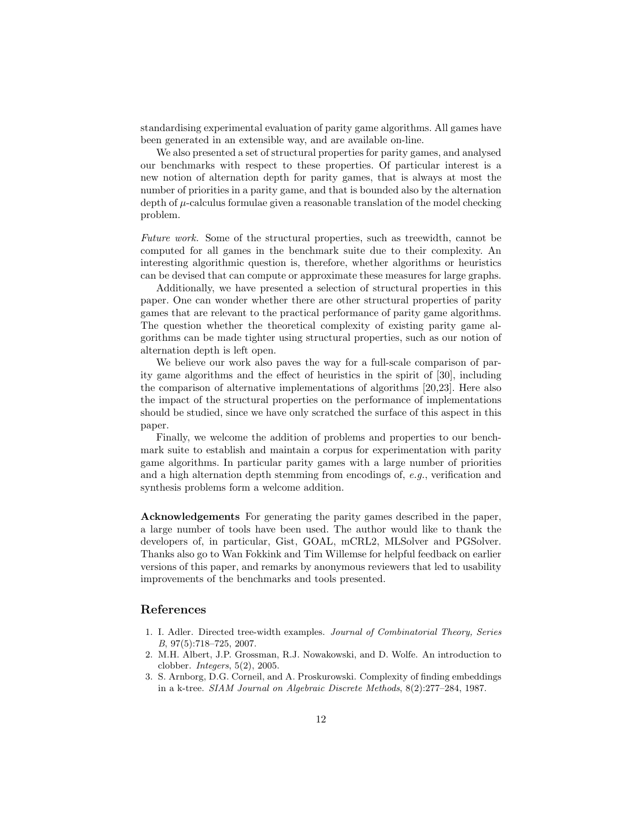standardising experimental evaluation of parity game algorithms. All games have been generated in an extensible way, and are available on-line.

We also presented a set of structural properties for parity games, and analysed our benchmarks with respect to these properties. Of particular interest is a new notion of alternation depth for parity games, that is always at most the number of priorities in a parity game, and that is bounded also by the alternation depth of  $\mu$ -calculus formulae given a reasonable translation of the model checking problem.

Future work. Some of the structural properties, such as treewidth, cannot be computed for all games in the benchmark suite due to their complexity. An interesting algorithmic question is, therefore, whether algorithms or heuristics can be devised that can compute or approximate these measures for large graphs.

Additionally, we have presented a selection of structural properties in this paper. One can wonder whether there are other structural properties of parity games that are relevant to the practical performance of parity game algorithms. The question whether the theoretical complexity of existing parity game algorithms can be made tighter using structural properties, such as our notion of alternation depth is left open.

We believe our work also paves the way for a full-scale comparison of parity game algorithms and the effect of heuristics in the spirit of [30], including the comparison of alternative implementations of algorithms [20,23]. Here also the impact of the structural properties on the performance of implementations should be studied, since we have only scratched the surface of this aspect in this paper.

Finally, we welcome the addition of problems and properties to our benchmark suite to establish and maintain a corpus for experimentation with parity game algorithms. In particular parity games with a large number of priorities and a high alternation depth stemming from encodings of, e.g., verification and synthesis problems form a welcome addition.

Acknowledgements For generating the parity games described in the paper, a large number of tools have been used. The author would like to thank the developers of, in particular, Gist, GOAL, mCRL2, MLSolver and PGSolver. Thanks also go to Wan Fokkink and Tim Willemse for helpful feedback on earlier versions of this paper, and remarks by anonymous reviewers that led to usability improvements of the benchmarks and tools presented.

# References

- 1. I. Adler. Directed tree-width examples. Journal of Combinatorial Theory, Series B, 97(5):718–725, 2007.
- 2. M.H. Albert, J.P. Grossman, R.J. Nowakowski, and D. Wolfe. An introduction to clobber. *Integers*,  $5(2)$ ,  $2005$ .
- 3. S. Arnborg, D.G. Corneil, and A. Proskurowski. Complexity of finding embeddings in a k-tree. SIAM Journal on Algebraic Discrete Methods, 8(2):277–284, 1987.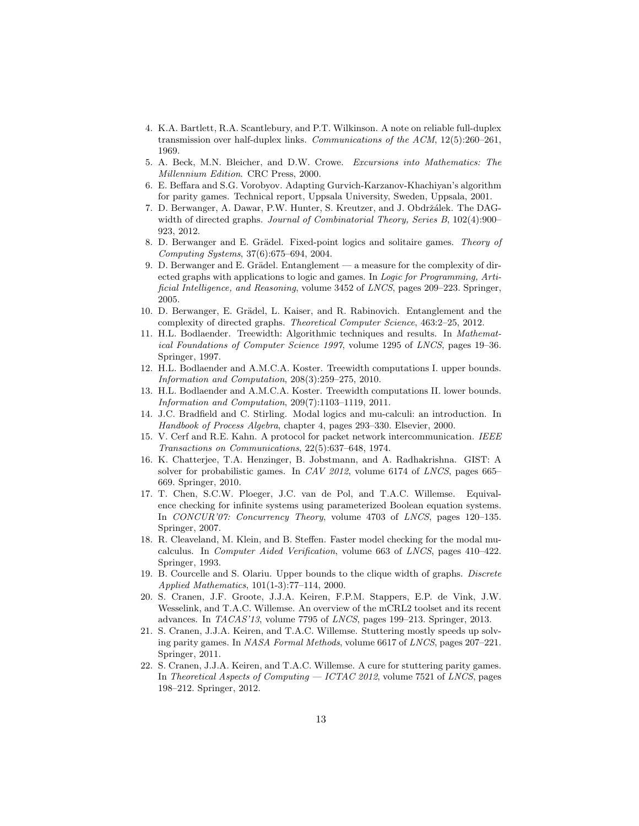- 4. K.A. Bartlett, R.A. Scantlebury, and P.T. Wilkinson. A note on reliable full-duplex transmission over half-duplex links. Communications of the ACM, 12(5):260–261, 1969.
- 5. A. Beck, M.N. Bleicher, and D.W. Crowe. Excursions into Mathematics: The Millennium Edition. CRC Press, 2000.
- 6. E. Beffara and S.G. Vorobyov. Adapting Gurvich-Karzanov-Khachiyan's algorithm for parity games. Technical report, Uppsala University, Sweden, Uppsala, 2001.
- 7. D. Berwanger, A. Dawar, P.W. Hunter, S. Kreutzer, and J. Obdržálek. The DAGwidth of directed graphs. Journal of Combinatorial Theory, Series B, 102(4):900– 923, 2012.
- 8. D. Berwanger and E. Grädel. Fixed-point logics and solitaire games. Theory of Computing Systems, 37(6):675–694, 2004.
- 9. D. Berwanger and E. Grädel. Entanglement a measure for the complexity of directed graphs with applications to logic and games. In Logic for Programming, Artificial Intelligence, and Reasoning, volume 3452 of LNCS, pages 209–223. Springer, 2005.
- 10. D. Berwanger, E. Grädel, L. Kaiser, and R. Rabinovich. Entanglement and the complexity of directed graphs. Theoretical Computer Science, 463:2–25, 2012.
- 11. H.L. Bodlaender. Treewidth: Algorithmic techniques and results. In Mathematical Foundations of Computer Science 1997, volume 1295 of LNCS, pages 19–36. Springer, 1997.
- 12. H.L. Bodlaender and A.M.C.A. Koster. Treewidth computations I. upper bounds. Information and Computation, 208(3):259–275, 2010.
- 13. H.L. Bodlaender and A.M.C.A. Koster. Treewidth computations II. lower bounds. Information and Computation, 209(7):1103–1119, 2011.
- 14. J.C. Bradfield and C. Stirling. Modal logics and mu-calculi: an introduction. In Handbook of Process Algebra, chapter 4, pages 293–330. Elsevier, 2000.
- 15. V. Cerf and R.E. Kahn. A protocol for packet network intercommunication. IEEE Transactions on Communications, 22(5):637–648, 1974.
- 16. K. Chatterjee, T.A. Henzinger, B. Jobstmann, and A. Radhakrishna. GIST: A solver for probabilistic games. In CAV 2012, volume 6174 of LNCS, pages 665– 669. Springer, 2010.
- 17. T. Chen, S.C.W. Ploeger, J.C. van de Pol, and T.A.C. Willemse. Equivalence checking for infinite systems using parameterized Boolean equation systems. In CONCUR'07: Concurrency Theory, volume 4703 of LNCS, pages 120–135. Springer, 2007.
- 18. R. Cleaveland, M. Klein, and B. Steffen. Faster model checking for the modal mucalculus. In Computer Aided Verification, volume 663 of LNCS, pages 410–422. Springer, 1993.
- 19. B. Courcelle and S. Olariu. Upper bounds to the clique width of graphs. Discrete Applied Mathematics, 101(1-3):77–114, 2000.
- 20. S. Cranen, J.F. Groote, J.J.A. Keiren, F.P.M. Stappers, E.P. de Vink, J.W. Wesselink, and T.A.C. Willemse. An overview of the mCRL2 toolset and its recent advances. In TACAS'13, volume 7795 of LNCS, pages 199–213. Springer, 2013.
- 21. S. Cranen, J.J.A. Keiren, and T.A.C. Willemse. Stuttering mostly speeds up solving parity games. In NASA Formal Methods, volume 6617 of LNCS, pages 207–221. Springer, 2011.
- 22. S. Cranen, J.J.A. Keiren, and T.A.C. Willemse. A cure for stuttering parity games. In Theoretical Aspects of Computing — ICTAC 2012, volume 7521 of LNCS, pages 198–212. Springer, 2012.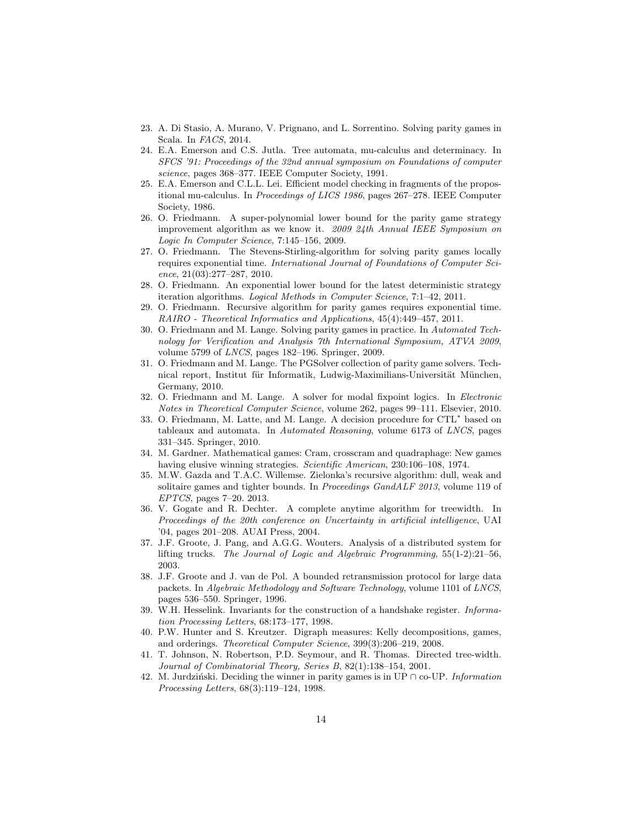- 23. A. Di Stasio, A. Murano, V. Prignano, and L. Sorrentino. Solving parity games in Scala. In FACS, 2014.
- 24. E.A. Emerson and C.S. Jutla. Tree automata, mu-calculus and determinacy. In SFCS '91: Proceedings of the 32nd annual symposium on Foundations of computer science, pages 368–377. IEEE Computer Society, 1991.
- 25. E.A. Emerson and C.L.L. Lei. Efficient model checking in fragments of the propositional mu-calculus. In Proceedings of LICS 1986, pages 267–278. IEEE Computer Society, 1986.
- 26. O. Friedmann. A super-polynomial lower bound for the parity game strategy improvement algorithm as we know it. 2009 24th Annual IEEE Symposium on Logic In Computer Science, 7:145–156, 2009.
- 27. O. Friedmann. The Stevens-Stirling-algorithm for solving parity games locally requires exponential time. International Journal of Foundations of Computer Science, 21(03):277–287, 2010.
- 28. O. Friedmann. An exponential lower bound for the latest deterministic strategy iteration algorithms. Logical Methods in Computer Science, 7:1–42, 2011.
- 29. O. Friedmann. Recursive algorithm for parity games requires exponential time. RAIRO - Theoretical Informatics and Applications, 45(4):449–457, 2011.
- 30. O. Friedmann and M. Lange. Solving parity games in practice. In Automated Technology for Verification and Analysis 7th International Symposium, ATVA 2009, volume 5799 of LNCS, pages 182–196. Springer, 2009.
- 31. O. Friedmann and M. Lange. The PGSolver collection of parity game solvers. Technical report, Institut für Informatik, Ludwig-Maximilians-Universität München, Germany, 2010.
- 32. O. Friedmann and M. Lange. A solver for modal fixpoint logics. In Electronic Notes in Theoretical Computer Science, volume 262, pages 99–111. Elsevier, 2010.
- 33. O. Friedmann, M. Latte, and M. Lange. A decision procedure for CTL<sup>∗</sup> based on tableaux and automata. In Automated Reasoning, volume 6173 of LNCS, pages 331–345. Springer, 2010.
- 34. M. Gardner. Mathematical games: Cram, crosscram and quadraphage: New games having elusive winning strategies. Scientific American, 230:106–108, 1974.
- 35. M.W. Gazda and T.A.C. Willemse. Zielonka's recursive algorithm: dull, weak and solitaire games and tighter bounds. In *Proceedings GandALF 2013*, volume 119 of EPTCS, pages 7–20. 2013.
- 36. V. Gogate and R. Dechter. A complete anytime algorithm for treewidth. In Proceedings of the 20th conference on Uncertainty in artificial intelligence, UAI '04, pages 201–208. AUAI Press, 2004.
- 37. J.F. Groote, J. Pang, and A.G.G. Wouters. Analysis of a distributed system for lifting trucks. The Journal of Logic and Algebraic Programming, 55(1-2):21–56, 2003.
- 38. J.F. Groote and J. van de Pol. A bounded retransmission protocol for large data packets. In Algebraic Methodology and Software Technology, volume 1101 of LNCS, pages 536–550. Springer, 1996.
- 39. W.H. Hesselink. Invariants for the construction of a handshake register. Information Processing Letters, 68:173–177, 1998.
- 40. P.W. Hunter and S. Kreutzer. Digraph measures: Kelly decompositions, games, and orderings. Theoretical Computer Science, 399(3):206–219, 2008.
- 41. T. Johnson, N. Robertson, P.D. Seymour, and R. Thomas. Directed tree-width. Journal of Combinatorial Theory, Series B, 82(1):138–154, 2001.
- 42. M. Jurdziński. Deciding the winner in parity games is in UP  $\cap$  co-UP. *Information* Processing Letters, 68(3):119–124, 1998.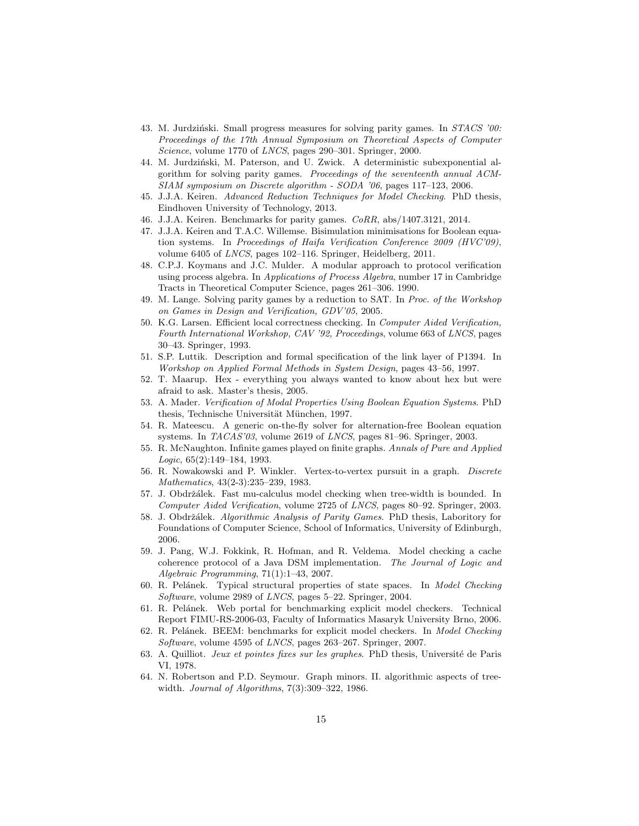- 43. M. Jurdziński. Small progress measures for solving parity games. In *STACS '00:* Proceedings of the 17th Annual Symposium on Theoretical Aspects of Computer Science, volume 1770 of *LNCS*, pages 290–301. Springer, 2000.
- 44. M. Jurdziński, M. Paterson, and U. Zwick. A deterministic subexponential algorithm for solving parity games. Proceedings of the seventeenth annual ACM-SIAM symposium on Discrete algorithm - SODA '06, pages 117–123, 2006.
- 45. J.J.A. Keiren. Advanced Reduction Techniques for Model Checking. PhD thesis, Eindhoven University of Technology, 2013.
- 46. J.J.A. Keiren. Benchmarks for parity games. CoRR, abs/1407.3121, 2014.
- 47. J.J.A. Keiren and T.A.C. Willemse. Bisimulation minimisations for Boolean equation systems. In Proceedings of Haifa Verification Conference 2009 (HVC'09), volume 6405 of LNCS, pages 102–116. Springer, Heidelberg, 2011.
- 48. C.P.J. Koymans and J.C. Mulder. A modular approach to protocol verification using process algebra. In Applications of Process Algebra, number 17 in Cambridge Tracts in Theoretical Computer Science, pages 261–306. 1990.
- 49. M. Lange. Solving parity games by a reduction to SAT. In Proc. of the Workshop on Games in Design and Verification, GDV'05, 2005.
- 50. K.G. Larsen. Efficient local correctness checking. In Computer Aided Verification, Fourth International Workshop, CAV '92, Proceedings, volume 663 of LNCS, pages 30–43. Springer, 1993.
- 51. S.P. Luttik. Description and formal specification of the link layer of P1394. In Workshop on Applied Formal Methods in System Design, pages 43–56, 1997.
- 52. T. Maarup. Hex everything you always wanted to know about hex but were afraid to ask. Master's thesis, 2005.
- 53. A. Mader. Verification of Modal Properties Using Boolean Equation Systems. PhD thesis, Technische Universität München, 1997.
- 54. R. Mateescu. A generic on-the-fly solver for alternation-free Boolean equation systems. In TACAS'03, volume 2619 of LNCS, pages 81–96. Springer, 2003.
- 55. R. McNaughton. Infinite games played on finite graphs. Annals of Pure and Applied Logic, 65(2):149–184, 1993.
- 56. R. Nowakowski and P. Winkler. Vertex-to-vertex pursuit in a graph. Discrete Mathematics, 43(2-3):235–239, 1983.
- 57. J. Obdržálek. Fast mu-calculus model checking when tree-width is bounded. In Computer Aided Verification, volume 2725 of LNCS, pages 80–92. Springer, 2003.
- 58. J. Obdržálek. Algorithmic Analysis of Parity Games. PhD thesis, Laboritory for Foundations of Computer Science, School of Informatics, University of Edinburgh, 2006.
- 59. J. Pang, W.J. Fokkink, R. Hofman, and R. Veldema. Model checking a cache coherence protocol of a Java DSM implementation. The Journal of Logic and Algebraic Programming, 71(1):1–43, 2007.
- 60. R. Pelánek. Typical structural properties of state spaces. In Model Checking Software, volume 2989 of LNCS, pages 5–22. Springer, 2004.
- 61. R. Pelánek. Web portal for benchmarking explicit model checkers. Technical Report FIMU-RS-2006-03, Faculty of Informatics Masaryk University Brno, 2006.
- 62. R. Pelánek. BEEM: benchmarks for explicit model checkers. In Model Checking Software, volume 4595 of LNCS, pages 263–267. Springer, 2007.
- 63. A. Quilliot. Jeux et pointes fixes sur les graphes. PhD thesis, Université de Paris VI, 1978.
- 64. N. Robertson and P.D. Seymour. Graph minors. II. algorithmic aspects of treewidth. Journal of Algorithms, 7(3):309–322, 1986.